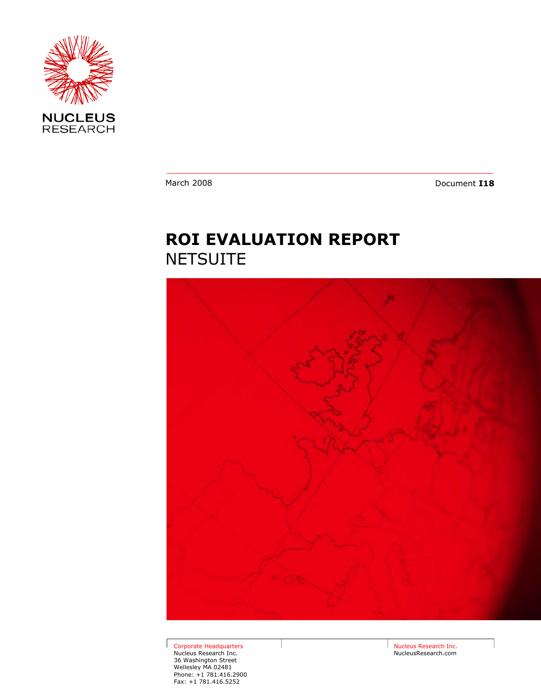

March 2008 **Document <b>I18** 

# **ROI EVALUATION REPORT NETSUITE**



Corporate Headquarters Nucleus Research Inc. 36 Washington Street Wellesley MA 02481 Phone: +1 781.416.2900 Fax: +1 781.416.5252

Nucleus Research Inc. NucleusResearch.com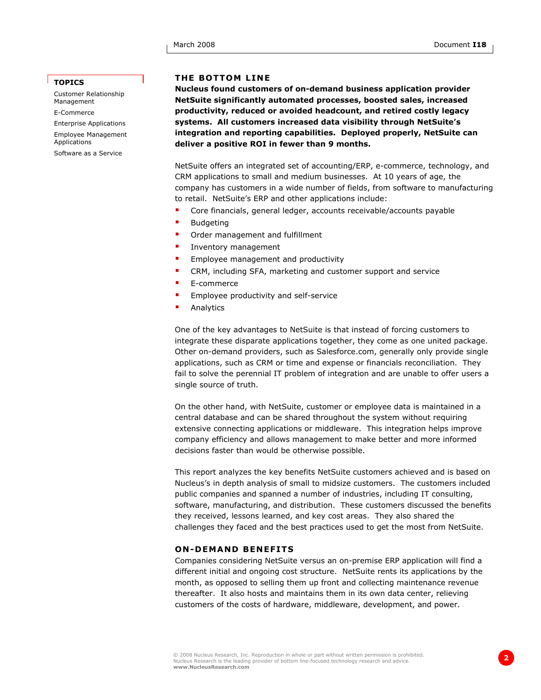## **TOPICS**

Customer Relationship Management E-Commerce Enterprise Applications Employee Management Applications Software as a Service

# **THE BOTTOM LINE**

**Nucleus found customers of on-demand business application provider NetSuite significantly automated processes, boosted sales, increased productivity, reduced or avoided headcount, and retired costly legacy systems. All customers increased data visibility through NetSuite's integration and reporting capabilities. Deployed properly, NetSuite can deliver a positive ROI in fewer than 9 months.** 

NetSuite offers an integrated set of accounting/ERP, e-commerce, technology, and CRM applications to small and medium businesses. At 10 years of age, the company has customers in a wide number of fields, from software to manufacturing to retail. NetSuite's ERP and other applications include:

- Core financials, general ledger, accounts receivable/accounts payable
- Budgeting
- Order management and fulfillment
- Inventory management
- Employee management and productivity
- CRM, including SFA, marketing and customer support and service
- E-commerce
- Employee productivity and self-service
- Analytics

One of the key advantages to NetSuite is that instead of forcing customers to integrate these disparate applications together, they come as one united package. Other on-demand providers, such as Salesforce.com, generally only provide single applications, such as CRM or time and expense or financials reconciliation. They fail to solve the perennial IT problem of integration and are unable to offer users a single source of truth.

On the other hand, with NetSuite, customer or employee data is maintained in a central database and can be shared throughout the system without requiring extensive connecting applications or middleware. This integration helps improve company efficiency and allows management to make better and more informed decisions faster than would be otherwise possible.

This report analyzes the key benefits NetSuite customers achieved and is based on Nucleus's in depth analysis of small to midsize customers. The customers included public companies and spanned a number of industries, including IT consulting, software, manufacturing, and distribution. These customers discussed the benefits they received, lessons learned, and key cost areas. They also shared the challenges they faced and the best practices used to get the most from NetSuite.

# **ON-DEMAND BENEFITS**

Companies considering NetSuite versus an on-premise ERP application will find a different initial and ongoing cost structure. NetSuite rents its applications by the month, as opposed to selling them up front and collecting maintenance revenue thereafter. It also hosts and maintains them in its own data center, relieving customers of the costs of hardware, middleware, development, and power.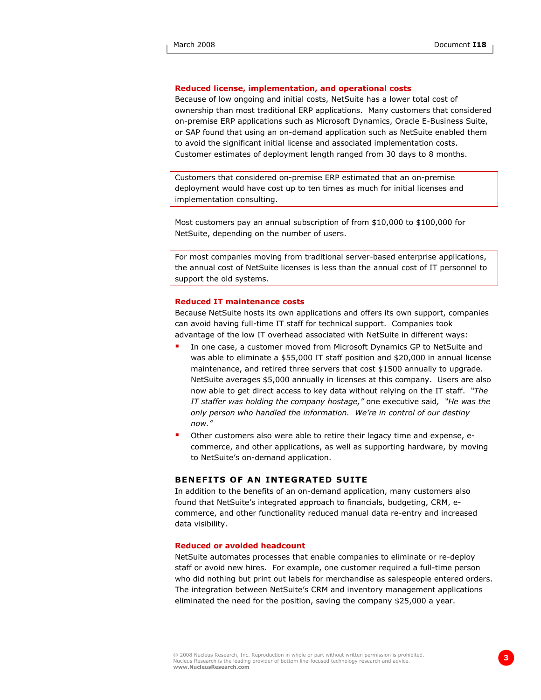# **Reduced license, implementation, and operational costs**

Because of low ongoing and initial costs, NetSuite has a lower total cost of ownership than most traditional ERP applications. Many customers that considered on-premise ERP applications such as Microsoft Dynamics, Oracle E-Business Suite, or SAP found that using an on-demand application such as NetSuite enabled them to avoid the significant initial license and associated implementation costs. Customer estimates of deployment length ranged from 30 days to 8 months.

Customers that considered on-premise ERP estimated that an on-premise deployment would have cost up to ten times as much for initial licenses and implementation consulting.

Most customers pay an annual subscription of from \$10,000 to \$100,000 for NetSuite, depending on the number of users.

For most companies moving from traditional server-based enterprise applications, the annual cost of NetSuite licenses is less than the annual cost of IT personnel to support the old systems.

### **Reduced IT maintenance costs**

Because NetSuite hosts its own applications and offers its own support, companies can avoid having full-time IT staff for technical support. Companies took advantage of the low IT overhead associated with NetSuite in different ways:

- In one case, a customer moved from Microsoft Dynamics GP to NetSuite and was able to eliminate a \$55,000 IT staff position and \$20,000 in annual license maintenance, and retired three servers that cost \$1500 annually to upgrade. NetSuite averages \$5,000 annually in licenses at this company. Users are also now able to get direct access to key data without relying on the IT staff. *"The IT staffer was holding the company hostage,"* one executive said*, "He was the only person who handled the information. We're in control of our destiny now."*
- Other customers also were able to retire their legacy time and expense, ecommerce, and other applications, as well as supporting hardware, by moving to NetSuite's on-demand application.

## **BENEFITS OF AN INTEGRATED SUITE**

In addition to the benefits of an on-demand application, many customers also found that NetSuite's integrated approach to financials, budgeting, CRM, ecommerce, and other functionality reduced manual data re-entry and increased data visibility.

## **Reduced or avoided headcount**

NetSuite automates processes that enable companies to eliminate or re-deploy staff or avoid new hires. For example, one customer required a full-time person who did nothing but print out labels for merchandise as salespeople entered orders. The integration between NetSuite's CRM and inventory management applications eliminated the need for the position, saving the company \$25,000 a year.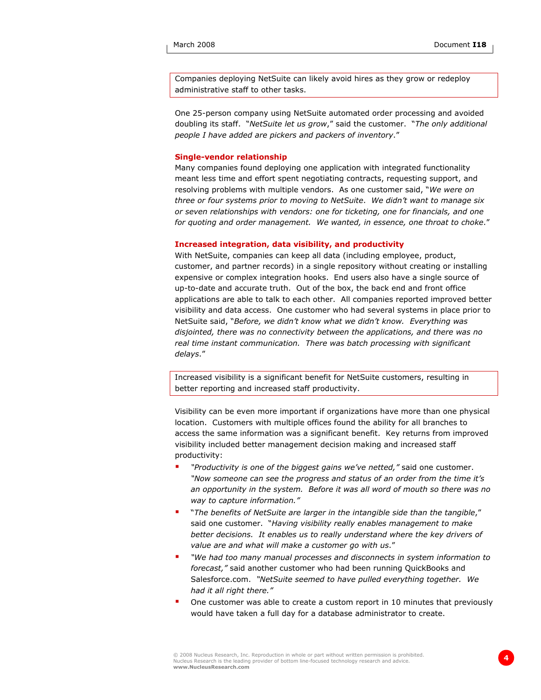Companies deploying NetSuite can likely avoid hires as they grow or redeploy administrative staff to other tasks.

One 25-person company using NetSuite automated order processing and avoided doubling its staff. "*NetSuite let us grow*," said the customer. "*The only additional people I have added are pickers and packers of inventory*."

## **Single-vendor relationship**

Many companies found deploying one application with integrated functionality meant less time and effort spent negotiating contracts, requesting support, and resolving problems with multiple vendors. As one customer said, "*We were on three or four systems prior to moving to NetSuite*. *We didn't want to manage six or seven relationships with vendors: one for ticketing, one for financials, and one for quoting and order management. We wanted, in essence, one throat to choke*."

## **Increased integration, data visibility, and productivity**

With NetSuite, companies can keep all data (including employee, product, customer, and partner records) in a single repository without creating or installing expensive or complex integration hooks. End users also have a single source of up-to-date and accurate truth. Out of the box, the back end and front office applications are able to talk to each other. All companies reported improved better visibility and data access. One customer who had several systems in place prior to NetSuite said, "*Before, we didn't know what we didn't know. Everything was disjointed, there was no connectivity between the applications, and there was no real time instant communication. There was batch processing with significant delays*."

Increased visibility is a significant benefit for NetSuite customers, resulting in better reporting and increased staff productivity.

Visibility can be even more important if organizations have more than one physical location. Customers with multiple offices found the ability for all branches to access the same information was a significant benefit. Key returns from improved visibility included better management decision making and increased staff productivity:

- *"Productivity is one of the biggest gains we've netted,"* said one customer. *"Now someone can see the progress and status of an order from the time it's an opportunity in the system. Before it was all word of mouth so there was no way to capture information."*
- "*The benefits of NetSuite are larger in the intangible side than the tangible*," said one customer. "*Having visibility really enables management to make better decisions. It enables us to really understand where the key drivers of value are and what will make a customer go with us*."
- *"We had too many manual processes and disconnects in system information to forecast,"* said another customer who had been running QuickBooks and Salesforce.com. *"NetSuite seemed to have pulled everything together. We had it all right there."*
- One customer was able to create a custom report in 10 minutes that previously would have taken a full day for a database administrator to create.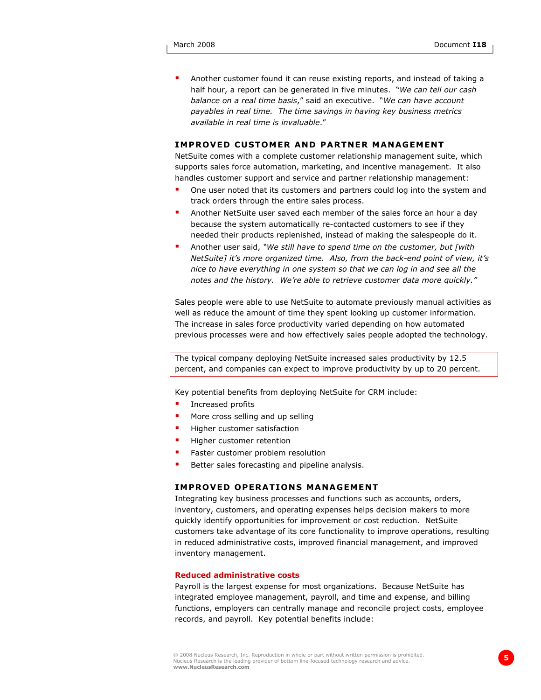Another customer found it can reuse existing reports, and instead of taking a half hour, a report can be generated in five minutes. "*We can tell our cash balance on a real time basis*," said an executive. "*We can have account payables in real time. The time savings in having key business metrics available in real time is invaluable*."

# **IMPROVED CUSTOMER AND PARTNER MANAGEMENT**

NetSuite comes with a complete customer relationship management suite, which supports sales force automation, marketing, and incentive management. It also handles customer support and service and partner relationship management:

- One user noted that its customers and partners could log into the system and track orders through the entire sales process.
- Another NetSuite user saved each member of the sales force an hour a day because the system automatically re-contacted customers to see if they needed their products replenished, instead of making the salespeople do it.
- Another user said, *"We still have to spend time on the customer, but [with NetSuite] it's more organized time. Also, from the back-end point of view, it's nice to have everything in one system so that we can log in and see all the notes and the history. We're able to retrieve customer data more quickly."*

Sales people were able to use NetSuite to automate previously manual activities as well as reduce the amount of time they spent looking up customer information. The increase in sales force productivity varied depending on how automated previous processes were and how effectively sales people adopted the technology.

The typical company deploying NetSuite increased sales productivity by 12.5 percent, and companies can expect to improve productivity by up to 20 percent.

Key potential benefits from deploying NetSuite for CRM include:

- Increased profits
- More cross selling and up selling
- Higher customer satisfaction
- Higher customer retention
- Faster customer problem resolution
- Better sales forecasting and pipeline analysis.

#### **IMPROVED OPERATIONS MANAGEMENT**

Integrating key business processes and functions such as accounts, orders, inventory, customers, and operating expenses helps decision makers to more quickly identify opportunities for improvement or cost reduction. NetSuite customers take advantage of its core functionality to improve operations, resulting in reduced administrative costs, improved financial management, and improved inventory management.

#### **Reduced administrative costs**

Payroll is the largest expense for most organizations. Because NetSuite has integrated employee management, payroll, and time and expense, and billing functions, employers can centrally manage and reconcile project costs, employee records, and payroll. Key potential benefits include: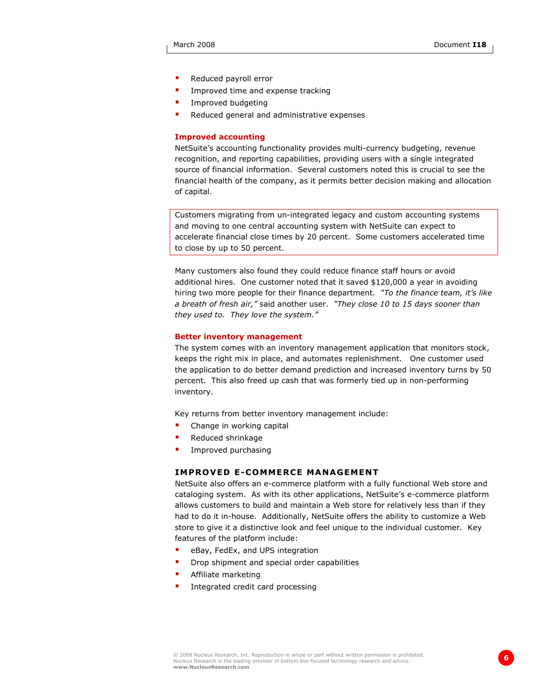- Reduced payroll error
- **IMPROVED 19 Improved time and expense tracking**
- Improved budgeting
- Reduced general and administrative expenses

#### **Improved accounting**

NetSuite's accounting functionality provides multi-currency budgeting, revenue recognition, and reporting capabilities, providing users with a single integrated source of financial information. Several customers noted this is crucial to see the financial health of the company, as it permits better decision making and allocation of capital.

Customers migrating from un-integrated legacy and custom accounting systems and moving to one central accounting system with NetSuite can expect to accelerate financial close times by 20 percent. Some customers accelerated time to close by up to 50 percent.

Many customers also found they could reduce finance staff hours or avoid additional hires. One customer noted that it saved \$120,000 a year in avoiding hiring two more people for their finance department. *"To the finance team, it's like a breath of fresh air,"* said another user. *"They close 10 to 15 days sooner than they used to. They love the system."*

## **Better inventory management**

The system comes with an inventory management application that monitors stock, keeps the right mix in place, and automates replenishment. One customer used the application to do better demand prediction and increased inventory turns by 50 percent. This also freed up cash that was formerly tied up in non-performing inventory.

Key returns from better inventory management include:

- Change in working capital
- Reduced shrinkage
- Improved purchasing

# **IMPROVED E-COMMERCE MANAGEMENT**

NetSuite also offers an e-commerce platform with a fully functional Web store and cataloging system. As with its other applications, NetSuite's e-commerce platform allows customers to build and maintain a Web store for relatively less than if they had to do it in-house. Additionally, NetSuite offers the ability to customize a Web store to give it a distinctive look and feel unique to the individual customer. Key features of the platform include:

- eBay, FedEx, and UPS integration
- Drop shipment and special order capabilities
- Affiliate marketing
- **Integrated credit card processing**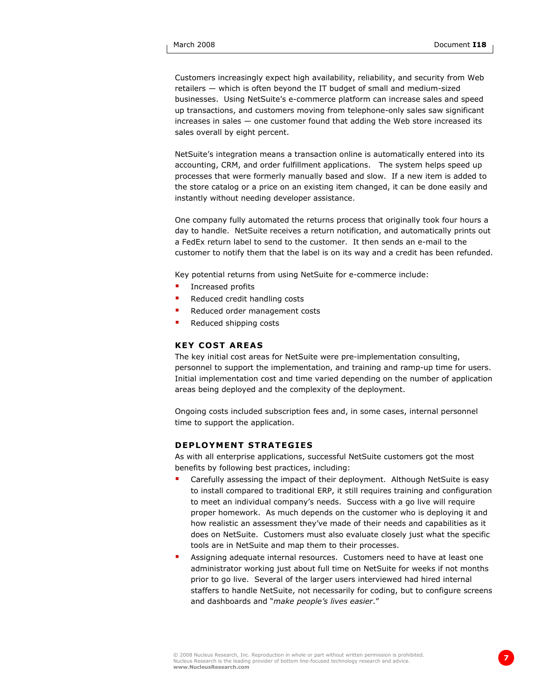Customers increasingly expect high availability, reliability, and security from Web retailers — which is often beyond the IT budget of small and medium-sized businesses. Using NetSuite's e-commerce platform can increase sales and speed up transactions, and customers moving from telephone-only sales saw significant increases in sales — one customer found that adding the Web store increased its sales overall by eight percent.

NetSuite's integration means a transaction online is automatically entered into its accounting, CRM, and order fulfillment applications. The system helps speed up processes that were formerly manually based and slow. If a new item is added to the store catalog or a price on an existing item changed, it can be done easily and instantly without needing developer assistance.

One company fully automated the returns process that originally took four hours a day to handle. NetSuite receives a return notification, and automatically prints out a FedEx return label to send to the customer. It then sends an e-mail to the customer to notify them that the label is on its way and a credit has been refunded.

Key potential returns from using NetSuite for e-commerce include:

- **Increased profits**
- Reduced credit handling costs
- Reduced order management costs
- Reduced shipping costs

# **KEY COST AREAS**

The key initial cost areas for NetSuite were pre-implementation consulting, personnel to support the implementation, and training and ramp-up time for users. Initial implementation cost and time varied depending on the number of application areas being deployed and the complexity of the deployment.

Ongoing costs included subscription fees and, in some cases, internal personnel time to support the application.

# **DEPLOYMENT STRATEGIES**

As with all enterprise applications, successful NetSuite customers got the most benefits by following best practices, including:

- Carefully assessing the impact of their deployment. Although NetSuite is easy to install compared to traditional ERP, it still requires training and configuration to meet an individual company's needs. Success with a go live will require proper homework. As much depends on the customer who is deploying it and how realistic an assessment they've made of their needs and capabilities as it does on NetSuite. Customers must also evaluate closely just what the specific tools are in NetSuite and map them to their processes.
- Assigning adequate internal resources. Customers need to have at least one administrator working just about full time on NetSuite for weeks if not months prior to go live. Several of the larger users interviewed had hired internal staffers to handle NetSuite, not necessarily for coding, but to configure screens and dashboards and "*make people's lives easier*."